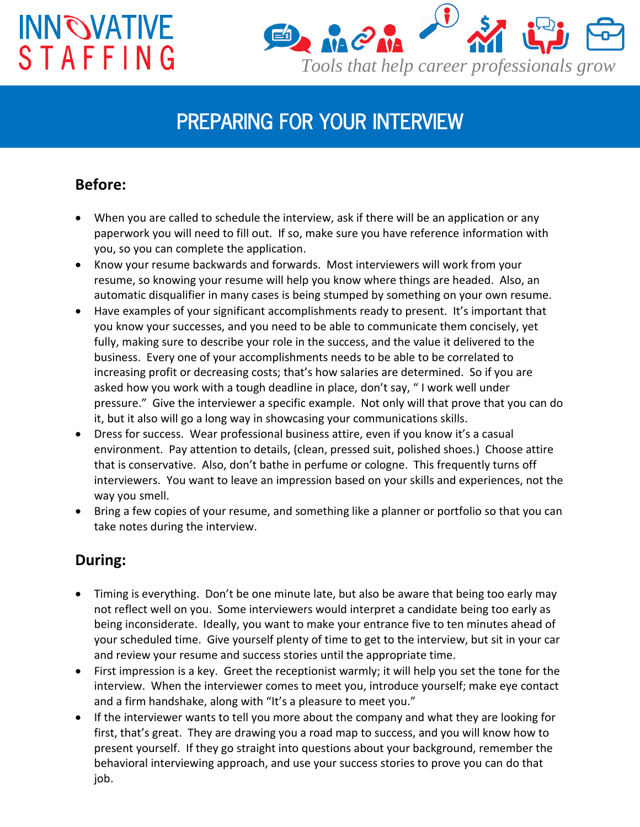# **INN OVATIVE STAFFING**



### *PREPARING FOR YOUR INTERVIEW*

#### **Before:**

- When you are called to schedule the interview, ask if there will be an application or any paperwork you will need to fill out. If so, make sure you have reference information with you, so you can complete the application.
- Know your resume backwards and forwards. Most interviewers will work from your resume, so knowing your resume will help you know where things are headed. Also, an automatic disqualifier in many cases is being stumped by something on your own resume.
- Have examples of your significant accomplishments ready to present. It's important that you know your successes, and you need to be able to communicate them concisely, yet fully, making sure to describe your role in the success, and the value it delivered to the business. Every one of your accomplishments needs to be able to be correlated to increasing profit or decreasing costs; that's how salaries are determined. So if you are asked how you work with a tough deadline in place, don't say, " I work well under pressure." Give the interviewer a specific example. Not only will that prove that you can do it, but it also will go a long way in showcasing your communications skills.
- Dress for success. Wear professional business attire, even if you know it's a casual environment. Pay attention to details, (clean, pressed suit, polished shoes.) Choose attire that is conservative. Also, don't bathe in perfume or cologne. This frequently turns off interviewers. You want to leave an impression based on your skills and experiences, not the way you smell.
- Bring a few copies of your resume, and something like a planner or portfolio so that you can take notes during the interview.

#### **During:**

- Timing is everything. Don't be one minute late, but also be aware that being too early may not reflect well on you. Some interviewers would interpret a candidate being too early as being inconsiderate. Ideally, you want to make your entrance five to ten minutes ahead of your scheduled time. Give yourself plenty of time to get to the interview, but sit in your car and review your resume and success stories until the appropriate time.
- First impression is a key. Greet the receptionist warmly; it will help you set the tone for the interview. When the interviewer comes to meet you, introduce yourself; make eye contact and a firm handshake, along with "It's a pleasure to meet you."
- If the interviewer wants to tell you more about the company and what they are looking for first, that's great. They are drawing you a road map to success, and you will know how to present yourself. If they go straight into questions about your background, remember the behavioral interviewing approach, and use your success stories to prove you can do that job.